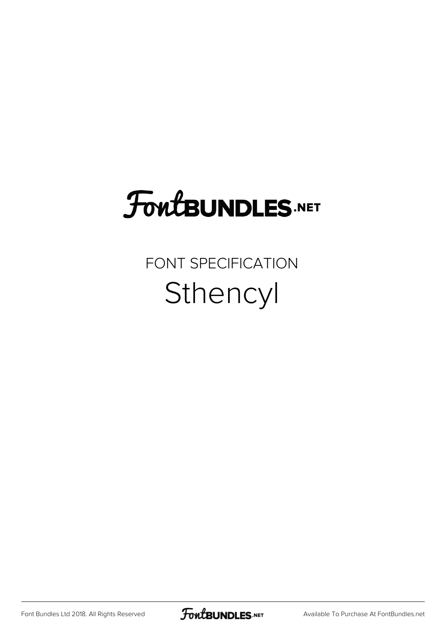## **FoutBUNDLES.NET**

## FONT SPECIFICATION Sthencyl

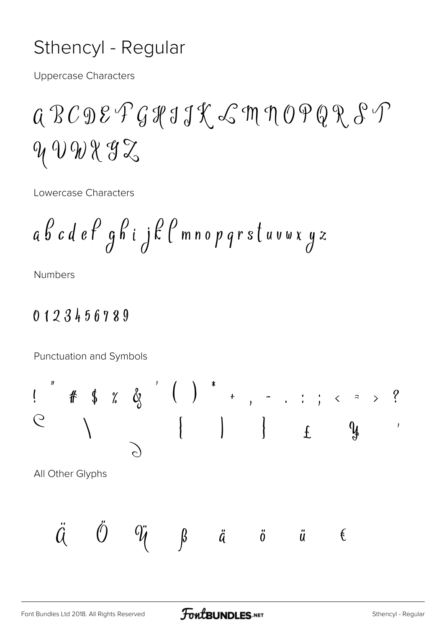## Sthencyl - Regular

**Uppercase Characters** 

 $999882$ 

Lowercase Characters

$$
a \not\!b \not\!c \not\!d \not\!e \not\!P g \not\!h \not\!i \not\!j \not\!E \not\!C \bmod p \not\!q rs \not\!t \not\!u \not\!v \not\!x \not\!y \not\!z
$$

**Numbers** 

## 0123456789

Punctuation and Symbols

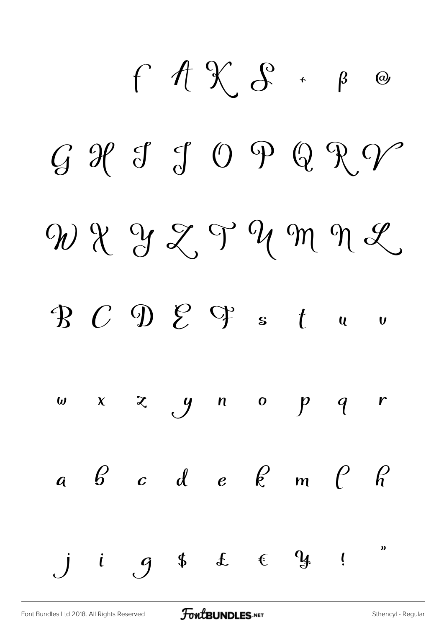$f$   $f$   $\chi$   $s$   $\circ$   $s$   $\circ$  $G$  If  $G$  Q Q R V  $W X Y Z Y W M Y Z$  $\mathcal{B}$   $C$   $\mathcal{D}$   $\mathcal{E}$   $\mathcal{C}$  s  $t$  u v  $w \times z$  y n o p q r  $a \quad b \quad c \quad d \quad e \quad e \quad m \quad \rho \quad r$  $i$   $g$  \$ £  $e$   $y$  !  $\overline{a}$  $\boldsymbol{\mathcal{Y}}$